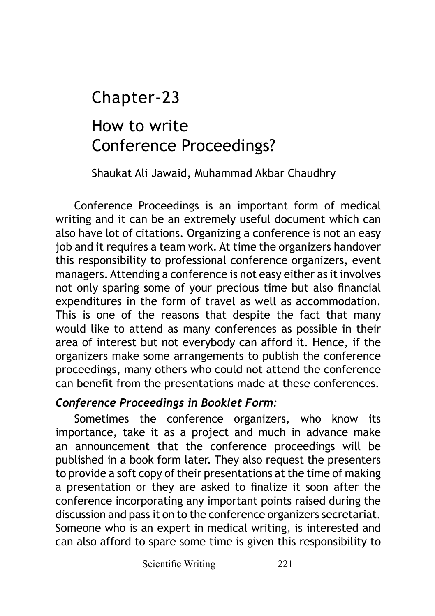## How to write Conference Proceedings? Chapter-23

Shaukat Ali Jawaid, Muhammad Akbar Chaudhry

Conference Proceedings is an important form of medical writing and it can be an extremely useful document which can also have lot of citations. Organizing a conference is not an easy job and it requires a team work. At time the organizers handover this responsibility to professional conference organizers, event managers. Attending a conference is not easy either as it involves not only sparing some of your precious time but also financial expenditures in the form of travel as well as accommodation. This is one of the reasons that despite the fact that many would like to attend as many conferences as possible in their area of interest but not everybody can afford it. Hence, if the organizers make some arrangements to publish the conference proceedings, many others who could not attend the conference can benefit from the presentations made at these conferences.

## *Conference Proceedings in Booklet Form:*

Sometimes the conference organizers, who know its importance, take it as a project and much in advance make an announcement that the conference proceedings will be published in a book form later. They also request the presenters to provide a soft copy of their presentations at the time of making a presentation or they are asked to finalize it soon after the conference incorporating any important points raised during the discussion and pass it on to the conference organizers secretariat. Someone who is an expert in medical writing, is interested and can also afford to spare some time is given this responsibility to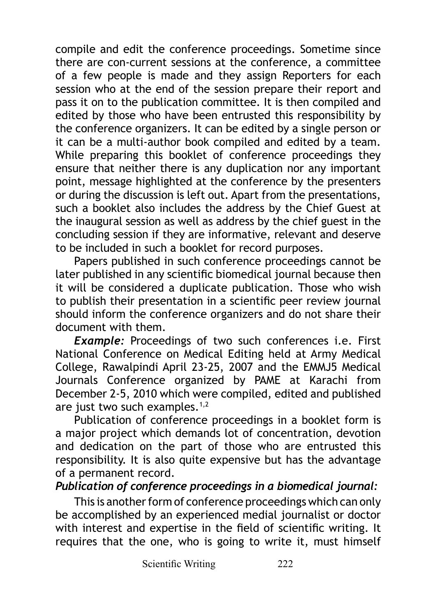compile and edit the conference proceedings. Sometime since there are con-current sessions at the conference, a committee of a few people is made and they assign Reporters for each session who at the end of the session prepare their report and pass it on to the publication committee. It is then compiled and edited by those who have been entrusted this responsibility by the conference organizers. It can be edited by a single person or it can be a multi-author book compiled and edited by a team. While preparing this booklet of conference proceedings they ensure that neither there is any duplication nor any important point, message highlighted at the conference by the presenters or during the discussion is left out. Apart from the presentations, such a booklet also includes the address by the Chief Guest at the inaugural session as well as address by the chief guest in the concluding session if they are informative, relevant and deserve to be included in such a booklet for record purposes.

Papers published in such conference proceedings cannot be later published in any scientific biomedical journal because then it will be considered a duplicate publication. Those who wish to publish their presentation in a scientific peer review journal should inform the conference organizers and do not share their document with them.

*Example:* Proceedings of two such conferences i.e. First National Conference on Medical Editing held at Army Medical College, Rawalpindi April 23-25, 2007 and the EMMJ5 Medical Journals Conference organized by PAME at Karachi from December 2-5, 2010 which were compiled, edited and published are just two such examples.<sup>1,2</sup>

Publication of conference proceedings in a booklet form is a major project which demands lot of concentration, devotion and dedication on the part of those who are entrusted this responsibility. It is also quite expensive but has the advantage of a permanent record.

## *Publication of conference proceedings in a biomedical journal:*

This is another form of conference proceedings which can only be accomplished by an experienced medial journalist or doctor with interest and expertise in the field of scientific writing. It requires that the one, who is going to write it, must himself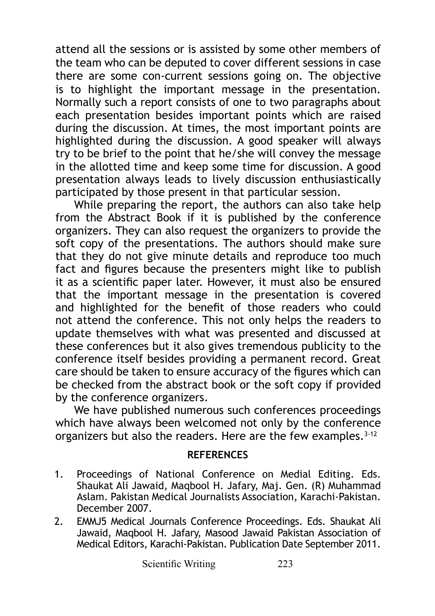attend all the sessions or is assisted by some other members of the team who can be deputed to cover different sessions in case there are some con-current sessions going on. The objective is to highlight the important message in the presentation. Normally such a report consists of one to two paragraphs about each presentation besides important points which are raised during the discussion. At times, the most important points are highlighted during the discussion. A good speaker will always try to be brief to the point that he/she will convey the message in the allotted time and keep some time for discussion. A good presentation always leads to lively discussion enthusiastically participated by those present in that particular session.

While preparing the report, the authors can also take help from the Abstract Book if it is published by the conference organizers. They can also request the organizers to provide the soft copy of the presentations. The authors should make sure that they do not give minute details and reproduce too much fact and figures because the presenters might like to publish it as a scientific paper later. However, it must also be ensured that the important message in the presentation is covered and highlighted for the benefit of those readers who could not attend the conference. This not only helps the readers to update themselves with what was presented and discussed at these conferences but it also gives tremendous publicity to the conference itself besides providing a permanent record. Great care should be taken to ensure accuracy of the figures which can be checked from the abstract book or the soft copy if provided by the conference organizers.

We have published numerous such conferences proceedings which have always been welcomed not only by the conference organizers but also the readers. Here are the few examples.<sup>3-12</sup>

## **REFERENCES**

- 1. Proceedings of National Conference on Medial Editing. Eds. Shaukat Ali Jawaid, Maqbool H. Jafary, Maj. Gen. (R) Muhammad Aslam. Pakistan Medical Journalists Association, Karachi-Pakistan. December 2007.
- 2. EMMJ5 Medical Journals Conference Proceedings. Eds. Shaukat Ali Jawaid, Maqbool H. Jafary, Masood Jawaid Pakistan Association of Medical Editors, Karachi-Pakistan. Publication Date September 2011.